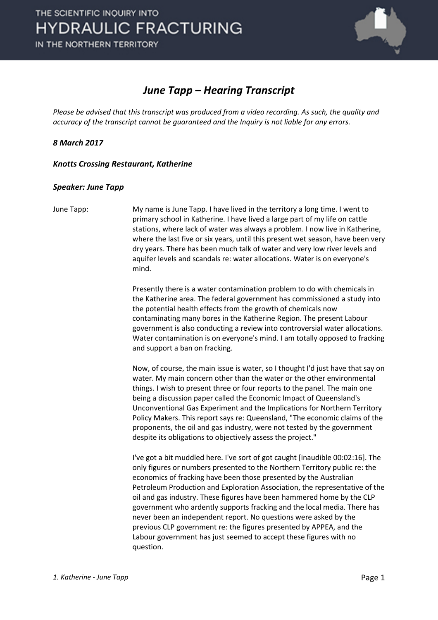

### *June Tapp – Hearing Transcript*

*Please be advised that this transcript was produced from a video recording. As such, the quality and accuracy of the transcript cannot be guaranteed and the Inquiry is not liable for any errors.*

*8 March 2017* 

*Knotts Crossing Restaurant, Katherine* 

#### *Speaker: June Tapp*

June Tapp: My name is June Tapp. I have lived in the territory a long time. I went to primary school in Katherine. I have lived a large part of my life on cattle stations, where lack of water was always a problem. I now live in Katherine, where the last five or six years, until this present wet season, have been very dry years. There has been much talk of water and very low river levels and aquifer levels and scandals re: water allocations. Water is on everyone's mind.

> Presently there is a water contamination problem to do with chemicals in the Katherine area. The federal government has commissioned a study into the potential health effects from the growth of chemicals now contaminating many bores in the Katherine Region. The present Labour government is also conducting a review into controversial water allocations. Water contamination is on everyone's mind. I am totally opposed to fracking and support a ban on fracking.

> Now, of course, the main issue is water, so I thought I'd just have that say on water. My main concern other than the water or the other environmental things. I wish to present three or four reports to the panel. The main one being a discussion paper called the Economic Impact of Queensland's Unconventional Gas Experiment and the Implications for Northern Territory Policy Makers. This report says re: Queensland, "The economic claims of the proponents, the oil and gas industry, were not tested by the government despite its obligations to objectively assess the project."

> I've got a bit muddled here. I've sort of got caught [inaudible 00:02:16]. The only figures or numbers presented to the Northern Territory public re: the economics of fracking have been those presented by the Australian Petroleum Production and Exploration Association, the representative of the oil and gas industry. These figures have been hammered home by the CLP government who ardently supports fracking and the local media. There has never been an independent report. No questions were asked by the previous CLP government re: the figures presented by APPEA, and the Labour government has just seemed to accept these figures with no question.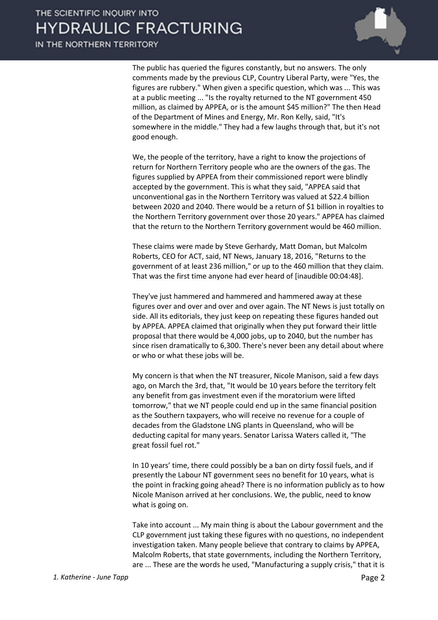The public has queried the figures constantly, but no answers. The only comments made by the previous CLP, Country Liberal Party, were "Yes, the figures are rubbery." When given a specific question, which was ... This was at a public meeting ... "Is the royalty returned to the NT government 450 million, as claimed by APPEA, or is the amount \$45 million?" The then Head of the Department of Mines and Energy, Mr. Ron Kelly, said, "It's somewhere in the middle." They had a few laughs through that, but it's not good enough.

We, the people of the territory, have a right to know the projections of return for Northern Territory people who are the owners of the gas. The figures supplied by APPEA from their commissioned report were blindly accepted by the government. This is what they said, "APPEA said that unconventional gas in the Northern Territory was valued at \$22.4 billion between 2020 and 2040. There would be a return of \$1 billion in royalties to the Northern Territory government over those 20 years." APPEA has claimed that the return to the Northern Territory government would be 460 million.

These claims were made by Steve Gerhardy, Matt Doman, but Malcolm Roberts, CEO for ACT, said, NT News, January 18, 2016, "Returns to the government of at least 236 million," or up to the 460 million that they claim. That was the first time anyone had ever heard of [inaudible 00:04:48].

They've just hammered and hammered and hammered away at these figures over and over and over and over again. The NT News is just totally on side. All its editorials, they just keep on repeating these figures handed out by APPEA. APPEA claimed that originally when they put forward their little proposal that there would be 4,000 jobs, up to 2040, but the number has since risen dramatically to 6,300. There's never been any detail about where or who or what these jobs will be.

My concern is that when the NT treasurer, Nicole Manison, said a few days ago, on March the 3rd, that, "It would be 10 years before the territory felt any benefit from gas investment even if the moratorium were lifted tomorrow," that we NT people could end up in the same financial position as the Southern taxpayers, who will receive no revenue for a couple of decades from the Gladstone LNG plants in Queensland, who will be deducting capital for many years. Senator Larissa Waters called it, "The great fossil fuel rot."

In 10 years' time, there could possibly be a ban on dirty fossil fuels, and if presently the Labour NT government sees no benefit for 10 years, what is the point in fracking going ahead? There is no information publicly as to how Nicole Manison arrived at her conclusions. We, the public, need to know what is going on.

Take into account ... My main thing is about the Labour government and the CLP government just taking these figures with no questions, no independent investigation taken. Many people believe that contrary to claims by APPEA, Malcolm Roberts, that state governments, including the Northern Territory, are ... These are the words he used, "Manufacturing a supply crisis," that it is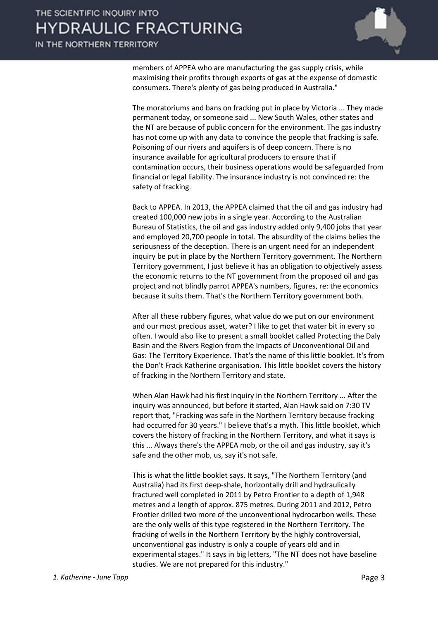IN THE NORTHERN TERRITORY



members of APPEA who are manufacturing the gas supply crisis, while maximising their profits through exports of gas at the expense of domestic consumers. There's plenty of gas being produced in Australia."

The moratoriums and bans on fracking put in place by Victoria ... They made permanent today, or someone said ... New South Wales, other states and the NT are because of public concern for the environment. The gas industry has not come up with any data to convince the people that fracking is safe. Poisoning of our rivers and aquifers is of deep concern. There is no insurance available for agricultural producers to ensure that if contamination occurs, their business operations would be safeguarded from financial or legal liability. The insurance industry is not convinced re: the safety of fracking.

Back to APPEA. In 2013, the APPEA claimed that the oil and gas industry had created 100,000 new jobs in a single year. According to the Australian Bureau of Statistics, the oil and gas industry added only 9,400 jobs that year and employed 20,700 people in total. The absurdity of the claims belies the seriousness of the deception. There is an urgent need for an independent inquiry be put in place by the Northern Territory government. The Northern Territory government, I just believe it has an obligation to objectively assess the economic returns to the NT government from the proposed oil and gas project and not blindly parrot APPEA's numbers, figures, re: the economics because it suits them. That's the Northern Territory government both.

After all these rubbery figures, what value do we put on our environment and our most precious asset, water? I like to get that water bit in every so often. I would also like to present a small booklet called Protecting the Daly Basin and the Rivers Region from the Impacts of Unconventional Oil and Gas: The Territory Experience. That's the name of this little booklet. It's from the Don't Frack Katherine organisation. This little booklet covers the history of fracking in the Northern Territory and state.

When Alan Hawk had his first inquiry in the Northern Territory ... After the inquiry was announced, but before it started, Alan Hawk said on 7:30 TV report that, "Fracking was safe in the Northern Territory because fracking had occurred for 30 years." I believe that's a myth. This little booklet, which covers the history of fracking in the Northern Territory, and what it says is this ... Always there's the APPEA mob, or the oil and gas industry, say it's safe and the other mob, us, say it's not safe.

This is what the little booklet says. It says, "The Northern Territory (and Australia) had its first deep-shale, horizontally drill and hydraulically fractured well completed in 2011 by Petro Frontier to a depth of 1,948 metres and a length of approx. 875 metres. During 2011 and 2012, Petro Frontier drilled two more of the unconventional hydrocarbon wells. These are the only wells of this type registered in the Northern Territory. The fracking of wells in the Northern Territory by the highly controversial, unconventional gas industry is only a couple of years old and in experimental stages." It says in big letters, "The NT does not have baseline studies. We are not prepared for this industry."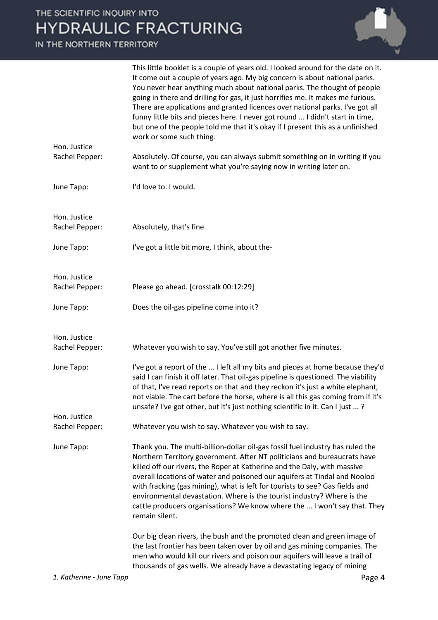

|                                | This little booklet is a couple of years old. I looked around for the date on it.<br>It come out a couple of years ago. My big concern is about national parks.<br>You never hear anything much about national parks. The thought of people<br>going in there and drilling for gas, it just horrifies me. It makes me furious.<br>There are applications and granted licences over national parks. I've got all<br>funny little bits and pieces here. I never got round  I didn't start in time,<br>but one of the people told me that it's okay if I present this as a unfinished<br>work or some such thing. |
|--------------------------------|----------------------------------------------------------------------------------------------------------------------------------------------------------------------------------------------------------------------------------------------------------------------------------------------------------------------------------------------------------------------------------------------------------------------------------------------------------------------------------------------------------------------------------------------------------------------------------------------------------------|
| Hon. Justice<br>Rachel Pepper: | Absolutely. Of course, you can always submit something on in writing if you<br>want to or supplement what you're saying now in writing later on.                                                                                                                                                                                                                                                                                                                                                                                                                                                               |
| June Tapp:                     | I'd love to. I would.                                                                                                                                                                                                                                                                                                                                                                                                                                                                                                                                                                                          |
| Hon. Justice<br>Rachel Pepper: | Absolutely, that's fine.                                                                                                                                                                                                                                                                                                                                                                                                                                                                                                                                                                                       |
| June Tapp:                     | I've got a little bit more, I think, about the-                                                                                                                                                                                                                                                                                                                                                                                                                                                                                                                                                                |
| Hon. Justice<br>Rachel Pepper: | Please go ahead. [crosstalk 00:12:29]                                                                                                                                                                                                                                                                                                                                                                                                                                                                                                                                                                          |
| June Tapp:                     | Does the oil-gas pipeline come into it?                                                                                                                                                                                                                                                                                                                                                                                                                                                                                                                                                                        |
| Hon. Justice                   |                                                                                                                                                                                                                                                                                                                                                                                                                                                                                                                                                                                                                |
| Rachel Pepper:                 | Whatever you wish to say. You've still got another five minutes.                                                                                                                                                                                                                                                                                                                                                                                                                                                                                                                                               |
| June Tapp:                     | I've got a report of the  I left all my bits and pieces at home because they'd<br>said I can finish it off later. That oil-gas pipeline is questioned. The viability<br>of that, I've read reports on that and they reckon it's just a white elephant,<br>not viable. The cart before the horse, where is all this gas coming from if it's<br>unsafe? I've got other, but it's just nothing scientific in it. Can I just ?                                                                                                                                                                                     |
| Hon. Justice                   |                                                                                                                                                                                                                                                                                                                                                                                                                                                                                                                                                                                                                |
| Rachel Pepper:                 | Whatever you wish to say. Whatever you wish to say.                                                                                                                                                                                                                                                                                                                                                                                                                                                                                                                                                            |
| June Tapp:                     | Thank you. The multi-billion-dollar oil-gas fossil fuel industry has ruled the<br>Northern Territory government. After NT politicians and bureaucrats have<br>killed off our rivers, the Roper at Katherine and the Daly, with massive<br>overall locations of water and poisoned our aquifers at Tindal and Nooloo<br>with fracking (gas mining), what is left for tourists to see? Gas fields and<br>environmental devastation. Where is the tourist industry? Where is the<br>cattle producers organisations? We know where the  I won't say that. They<br>remain silent.                                   |
|                                | Our big clean rivers, the bush and the promoted clean and green image of<br>the last frontier has been taken over by oil and gas mining companies. The<br>men who would kill our rivers and poison our aquifers will leave a trail of<br>thousands of gas wells. We already have a devastating legacy of mining                                                                                                                                                                                                                                                                                                |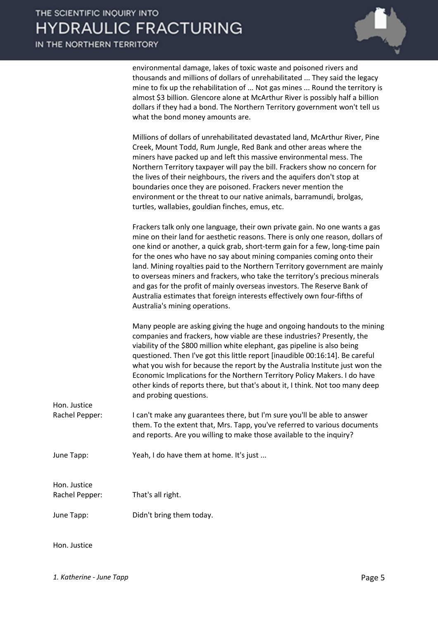IN THE NORTHERN TERRITORY



environmental damage, lakes of toxic waste and poisoned rivers and thousands and millions of dollars of unrehabilitated ... They said the legacy mine to fix up the rehabilitation of ... Not gas mines ... Round the territory is almost \$3 billion. Glencore alone at McArthur River is possibly half a billion dollars if they had a bond. The Northern Territory government won't tell us what the bond money amounts are.

Millions of dollars of unrehabilitated devastated land, McArthur River, Pine Creek, Mount Todd, Rum Jungle, Red Bank and other areas where the miners have packed up and left this massive environmental mess. The Northern Territory taxpayer will pay the bill. Frackers show no concern for the lives of their neighbours, the rivers and the aquifers don't stop at boundaries once they are poisoned. Frackers never mention the environment or the threat to our native animals, barramundi, brolgas, turtles, wallabies, gouldian finches, emus, etc.

Frackers talk only one language, their own private gain. No one wants a gas mine on their land for aesthetic reasons. There is only one reason, dollars of one kind or another, a quick grab, short-term gain for a few, long-time pain for the ones who have no say about mining companies coming onto their land. Mining royalties paid to the Northern Territory government are mainly to overseas miners and frackers, who take the territory's precious minerals and gas for the profit of mainly overseas investors. The Reserve Bank of Australia estimates that foreign interests effectively own four-fifths of Australia's mining operations.

Many people are asking giving the huge and ongoing handouts to the mining companies and frackers, how viable are these industries? Presently, the viability of the \$800 million white elephant, gas pipeline is also being questioned. Then I've got this little report [inaudible 00:16:14]. Be careful what you wish for because the report by the Australia Institute just won the Economic Implications for the Northern Territory Policy Makers. I do have other kinds of reports there, but that's about it, I think. Not too many deep and probing questions.

Hon. Justice Rachel Pepper: I can't make any guarantees there, but I'm sure you'll be able to answer them. To the extent that, Mrs. Tapp, you've referred to various documents and reports. Are you willing to make those available to the inquiry?

June Tapp: Yeah, I do have them at home. It's just ...

Hon. Justice

Rachel Pepper: That's all right.

June Tapp: Didn't bring them today.

Hon. Justice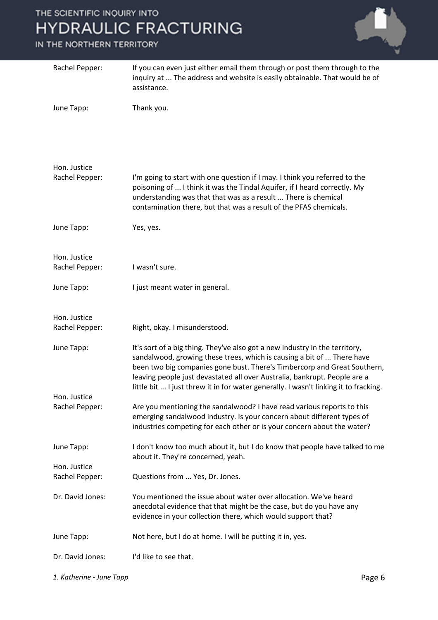| Rachel Pepper:                 | If you can even just either email them through or post them through to the<br>inquiry at  The address and website is easily obtainable. That would be of<br>assistance.                                                                                                                                                                                                                                |
|--------------------------------|--------------------------------------------------------------------------------------------------------------------------------------------------------------------------------------------------------------------------------------------------------------------------------------------------------------------------------------------------------------------------------------------------------|
| June Tapp:                     | Thank you.                                                                                                                                                                                                                                                                                                                                                                                             |
| Hon. Justice<br>Rachel Pepper: | I'm going to start with one question if I may. I think you referred to the<br>poisoning of  I think it was the Tindal Aquifer, if I heard correctly. My<br>understanding was that that was as a result  There is chemical<br>contamination there, but that was a result of the PFAS chemicals.                                                                                                         |
| June Tapp:                     | Yes, yes.                                                                                                                                                                                                                                                                                                                                                                                              |
| Hon. Justice<br>Rachel Pepper: | I wasn't sure.                                                                                                                                                                                                                                                                                                                                                                                         |
| June Tapp:                     | I just meant water in general.                                                                                                                                                                                                                                                                                                                                                                         |
| Hon. Justice<br>Rachel Pepper: | Right, okay. I misunderstood.                                                                                                                                                                                                                                                                                                                                                                          |
| June Tapp:                     | It's sort of a big thing. They've also got a new industry in the territory,<br>sandalwood, growing these trees, which is causing a bit of  There have<br>been two big companies gone bust. There's Timbercorp and Great Southern,<br>leaving people just devastated all over Australia, bankrupt. People are a<br>little bit  I just threw it in for water generally. I wasn't linking it to fracking. |
| Hon. Justice<br>Rachel Pepper: | Are you mentioning the sandalwood? I have read various reports to this<br>emerging sandalwood industry. Is your concern about different types of<br>industries competing for each other or is your concern about the water?                                                                                                                                                                            |
| June Tapp:                     | I don't know too much about it, but I do know that people have talked to me<br>about it. They're concerned, yeah.                                                                                                                                                                                                                                                                                      |
| Hon. Justice<br>Rachel Pepper: | Questions from  Yes, Dr. Jones.                                                                                                                                                                                                                                                                                                                                                                        |
| Dr. David Jones:               | You mentioned the issue about water over allocation. We've heard<br>anecdotal evidence that that might be the case, but do you have any<br>evidence in your collection there, which would support that?                                                                                                                                                                                                |
| June Tapp:                     | Not here, but I do at home. I will be putting it in, yes.                                                                                                                                                                                                                                                                                                                                              |
| Dr. David Jones:               | I'd like to see that.                                                                                                                                                                                                                                                                                                                                                                                  |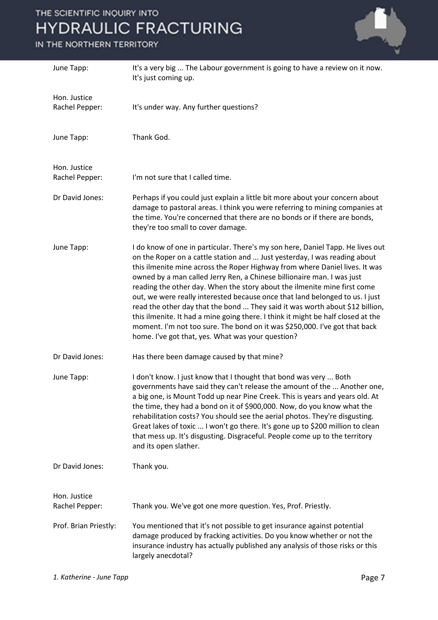| June Tapp:                     | It's a very big  The Labour government is going to have a review on it now.<br>It's just coming up.                                                                                                                                                                                                                                                                                                                                                                                                                                                                                                                                                                                                                                                                                     |
|--------------------------------|-----------------------------------------------------------------------------------------------------------------------------------------------------------------------------------------------------------------------------------------------------------------------------------------------------------------------------------------------------------------------------------------------------------------------------------------------------------------------------------------------------------------------------------------------------------------------------------------------------------------------------------------------------------------------------------------------------------------------------------------------------------------------------------------|
| Hon. Justice<br>Rachel Pepper: | It's under way. Any further questions?                                                                                                                                                                                                                                                                                                                                                                                                                                                                                                                                                                                                                                                                                                                                                  |
| June Tapp:                     | Thank God.                                                                                                                                                                                                                                                                                                                                                                                                                                                                                                                                                                                                                                                                                                                                                                              |
| Hon. Justice<br>Rachel Pepper: | I'm not sure that I called time.                                                                                                                                                                                                                                                                                                                                                                                                                                                                                                                                                                                                                                                                                                                                                        |
| Dr David Jones:                | Perhaps if you could just explain a little bit more about your concern about<br>damage to pastoral areas. I think you were referring to mining companies at<br>the time. You're concerned that there are no bonds or if there are bonds,<br>they're too small to cover damage.                                                                                                                                                                                                                                                                                                                                                                                                                                                                                                          |
| June Tapp:                     | I do know of one in particular. There's my son here, Daniel Tapp. He lives out<br>on the Roper on a cattle station and  Just yesterday, I was reading about<br>this ilmenite mine across the Roper Highway from where Daniel lives. It was<br>owned by a man called Jerry Ren, a Chinese billionaire man. I was just<br>reading the other day. When the story about the ilmenite mine first come<br>out, we were really interested because once that land belonged to us. I just<br>read the other day that the bond  They said it was worth about \$12 billion,<br>this ilmenite. It had a mine going there. I think it might be half closed at the<br>moment. I'm not too sure. The bond on it was \$250,000. I've got that back<br>home. I've got that, yes. What was your question? |
| Dr David Jones:                | Has there been damage caused by that mine?                                                                                                                                                                                                                                                                                                                                                                                                                                                                                                                                                                                                                                                                                                                                              |
| June Tapp:                     | I don't know. I just know that I thought that bond was very  Both<br>governments have said they can't release the amount of the  Another one,<br>a big one, is Mount Todd up near Pine Creek. This is years and years old. At<br>the time, they had a bond on it of \$900,000. Now, do you know what the<br>rehabilitation costs? You should see the aerial photos. They're disgusting.<br>Great lakes of toxic  I won't go there. It's gone up to \$200 million to clean<br>that mess up. It's disgusting. Disgraceful. People come up to the territory<br>and its open slather.                                                                                                                                                                                                       |
| Dr David Jones:                | Thank you.                                                                                                                                                                                                                                                                                                                                                                                                                                                                                                                                                                                                                                                                                                                                                                              |
| Hon. Justice<br>Rachel Pepper: | Thank you. We've got one more question. Yes, Prof. Priestly.                                                                                                                                                                                                                                                                                                                                                                                                                                                                                                                                                                                                                                                                                                                            |
| Prof. Brian Priestly:          | You mentioned that it's not possible to get insurance against potential<br>damage produced by fracking activities. Do you know whether or not the<br>insurance industry has actually published any analysis of those risks or this<br>largely anecdotal?                                                                                                                                                                                                                                                                                                                                                                                                                                                                                                                                |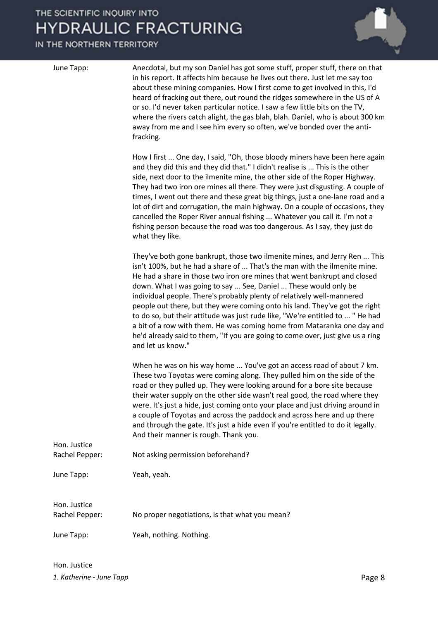| June Tapp:                     | Anecdotal, but my son Daniel has got some stuff, proper stuff, there on that<br>in his report. It affects him because he lives out there. Just let me say too<br>about these mining companies. How I first come to get involved in this, I'd<br>heard of fracking out there, out round the ridges somewhere in the US of A<br>or so. I'd never taken particular notice. I saw a few little bits on the TV,<br>where the rivers catch alight, the gas blah, blah. Daniel, who is about 300 km<br>away from me and I see him every so often, we've bonded over the anti-<br>fracking.                                                                                                                                               |
|--------------------------------|-----------------------------------------------------------------------------------------------------------------------------------------------------------------------------------------------------------------------------------------------------------------------------------------------------------------------------------------------------------------------------------------------------------------------------------------------------------------------------------------------------------------------------------------------------------------------------------------------------------------------------------------------------------------------------------------------------------------------------------|
|                                | How I first  One day, I said, "Oh, those bloody miners have been here again<br>and they did this and they did that." I didn't realise is  This is the other<br>side, next door to the ilmenite mine, the other side of the Roper Highway.<br>They had two iron ore mines all there. They were just disgusting. A couple of<br>times, I went out there and these great big things, just a one-lane road and a<br>lot of dirt and corrugation, the main highway. On a couple of occasions, they<br>cancelled the Roper River annual fishing  Whatever you call it. I'm not a<br>fishing person because the road was too dangerous. As I say, they just do<br>what they like.                                                        |
|                                | They've both gone bankrupt, those two ilmenite mines, and Jerry Ren  This<br>isn't 100%, but he had a share of  That's the man with the ilmenite mine.<br>He had a share in those two iron ore mines that went bankrupt and closed<br>down. What I was going to say  See, Daniel  These would only be<br>individual people. There's probably plenty of relatively well-mannered<br>people out there, but they were coming onto his land. They've got the right<br>to do so, but their attitude was just rude like, "We're entitled to  " He had<br>a bit of a row with them. He was coming home from Mataranka one day and<br>he'd already said to them, "If you are going to come over, just give us a ring<br>and let us know." |
| Hon. Justice                   | When he was on his way home  You've got an access road of about 7 km.<br>These two Toyotas were coming along. They pulled him on the side of the<br>road or they pulled up. They were looking around for a bore site because<br>their water supply on the other side wasn't real good, the road where they<br>were. It's just a hide, just coming onto your place and just driving around in<br>a couple of Toyotas and across the paddock and across here and up there<br>and through the gate. It's just a hide even if you're entitled to do it legally.<br>And their manner is rough. Thank you.                                                                                                                              |
| Rachel Pepper:                 | Not asking permission beforehand?                                                                                                                                                                                                                                                                                                                                                                                                                                                                                                                                                                                                                                                                                                 |
| June Tapp:                     | Yeah, yeah.                                                                                                                                                                                                                                                                                                                                                                                                                                                                                                                                                                                                                                                                                                                       |
| Hon. Justice<br>Rachel Pepper: | No proper negotiations, is that what you mean?                                                                                                                                                                                                                                                                                                                                                                                                                                                                                                                                                                                                                                                                                    |
| June Tapp:                     | Yeah, nothing. Nothing.                                                                                                                                                                                                                                                                                                                                                                                                                                                                                                                                                                                                                                                                                                           |